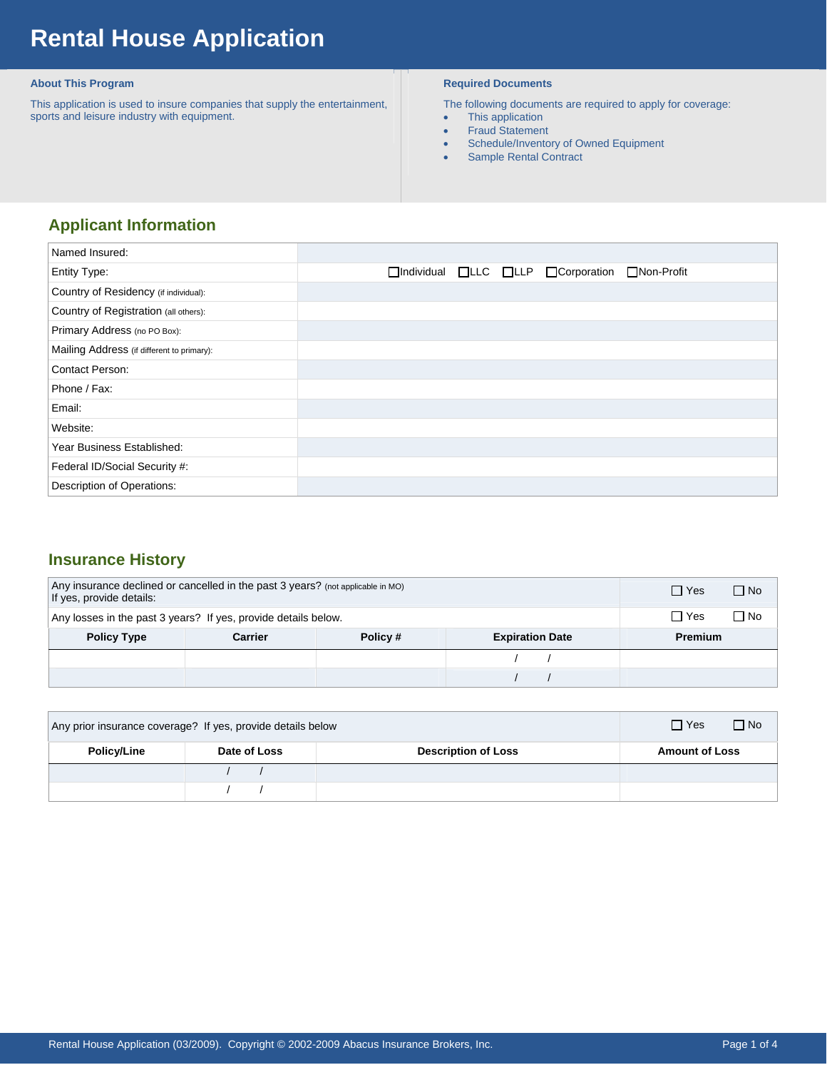# **Rental House Application**

#### **About This Program**

 This application is used to insure companies that supply the entertainment, sports and leisure industry with equipment.

#### **Required Documents**

The following documents are required to apply for coverage:

- This application
- Fraud Statement
- Schedule/Inventory of Owned Equipment
- Sample Rental Contract

## **Applicant Information**

| Named Insured:                             |                                                                                 |
|--------------------------------------------|---------------------------------------------------------------------------------|
| <b>Entity Type:</b>                        | $\Box$ Individual $\Box$ LLC $\Box$ LLP $\Box$ Corporation<br>$\Box$ Non-Profit |
| Country of Residency (if individual):      |                                                                                 |
| Country of Registration (all others):      |                                                                                 |
| Primary Address (no PO Box):               |                                                                                 |
| Mailing Address (if different to primary): |                                                                                 |
| <b>Contact Person:</b>                     |                                                                                 |
| Phone / Fax:                               |                                                                                 |
| Email:                                     |                                                                                 |
| Website:                                   |                                                                                 |
| Year Business Established:                 |                                                                                 |
| Federal ID/Social Security #:              |                                                                                 |
| Description of Operations:                 |                                                                                 |

### **Insurance History**

| Any insurance declined or cancelled in the past 3 years? (not applicable in MO)<br>If yes, provide details: |  |  | $\Box$ Yes     | $\Box$ No |  |
|-------------------------------------------------------------------------------------------------------------|--|--|----------------|-----------|--|
| Any losses in the past 3 years? If yes, provide details below.                                              |  |  | $\Box$ Yes     | ∩ No      |  |
| <b>Policy Type</b><br>Policy#<br><b>Expiration Date</b><br>Carrier                                          |  |  | <b>Premium</b> |           |  |
|                                                                                                             |  |  |                |           |  |
|                                                                                                             |  |  |                |           |  |

| Any prior insurance coverage? If yes, provide details below |              | $\Box$ Yes<br>$\Box$ No    |                       |
|-------------------------------------------------------------|--------------|----------------------------|-----------------------|
| <b>Policy/Line</b>                                          | Date of Loss | <b>Description of Loss</b> | <b>Amount of Loss</b> |
|                                                             |              |                            |                       |
|                                                             |              |                            |                       |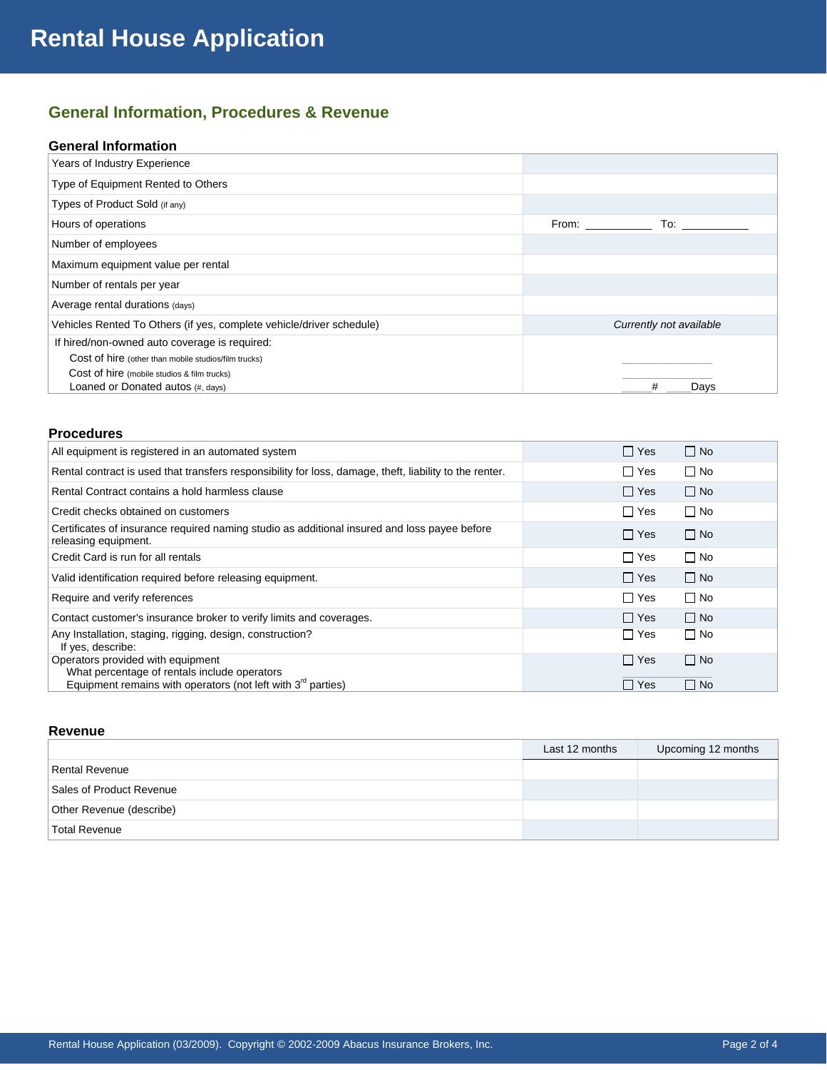## **General Information, Procedures & Revenue**

#### **General Information**

| Years of Industry Experience                                         |                                                                                                                                                                                                                                |                                                                                                                                                                                                                                |
|----------------------------------------------------------------------|--------------------------------------------------------------------------------------------------------------------------------------------------------------------------------------------------------------------------------|--------------------------------------------------------------------------------------------------------------------------------------------------------------------------------------------------------------------------------|
| Type of Equipment Rented to Others                                   |                                                                                                                                                                                                                                |                                                                                                                                                                                                                                |
| Types of Product Sold (if any)                                       |                                                                                                                                                                                                                                |                                                                                                                                                                                                                                |
| Hours of operations                                                  | From: The contract of the contract of the contract of the contract of the contract of the contract of the contract of the contract of the contract of the contract of the contract of the contract of the contract of the cont | To: the contract of the contract of the contract of the contract of the contract of the contract of the contract of the contract of the contract of the contract of the contract of the contract of the contract of the contra |
| Number of employees                                                  |                                                                                                                                                                                                                                |                                                                                                                                                                                                                                |
| Maximum equipment value per rental                                   |                                                                                                                                                                                                                                |                                                                                                                                                                                                                                |
| Number of rentals per year                                           |                                                                                                                                                                                                                                |                                                                                                                                                                                                                                |
| Average rental durations (days)                                      |                                                                                                                                                                                                                                |                                                                                                                                                                                                                                |
| Vehicles Rented To Others (if yes, complete vehicle/driver schedule) |                                                                                                                                                                                                                                | Currently not available                                                                                                                                                                                                        |
| If hired/non-owned auto coverage is required:                        |                                                                                                                                                                                                                                |                                                                                                                                                                                                                                |
| Cost of hire (other than mobile studios/film trucks)                 |                                                                                                                                                                                                                                |                                                                                                                                                                                                                                |
| Cost of hire (mobile studios & film trucks)                          |                                                                                                                                                                                                                                |                                                                                                                                                                                                                                |
| Loaned or Donated autos (#, days)                                    |                                                                                                                                                                                                                                | Davs<br>#                                                                                                                                                                                                                      |

#### **Procedures**

| All equipment is registered in an automated system                                                                       | $\Box$ Yes | $\Box$ No |
|--------------------------------------------------------------------------------------------------------------------------|------------|-----------|
| Rental contract is used that transfers responsibility for loss, damage, theft, liability to the renter.                  | ∏ Yes      | $\Box$ No |
| Rental Contract contains a hold harmless clause                                                                          | $\Box$ Yes | $\Box$ No |
| Credit checks obtained on customers                                                                                      | $\Box$ Yes | $\Box$ No |
| Certificates of insurance required naming studio as additional insured and loss payee before<br>releasing equipment.     | $\Box$ Yes | $\Box$ No |
| Credit Card is run for all rentals                                                                                       | $\Box$ Yes | $\Box$ No |
| Valid identification required before releasing equipment.                                                                | $\Box$ Yes | $\Box$ No |
| Require and verify references                                                                                            | $\Box$ Yes | $\Box$ No |
| Contact customer's insurance broker to verify limits and coverages.                                                      | $\Box$ Yes | $\Box$ No |
| Any Installation, staging, rigging, design, construction?<br>If yes, describe:                                           | $\Box$ Yes | $\Box$ No |
| Operators provided with equipment                                                                                        | $\Box$ Yes | $\Box$ No |
| What percentage of rentals include operators<br>Equipment remains with operators (not left with 3 <sup>rd</sup> parties) | $\Box$ Yes | $\Box$ No |

#### **Revenue**

|                          | Last 12 months | Upcoming 12 months |
|--------------------------|----------------|--------------------|
| Rental Revenue           |                |                    |
| Sales of Product Revenue |                |                    |
| Other Revenue (describe) |                |                    |
| <b>Total Revenue</b>     |                |                    |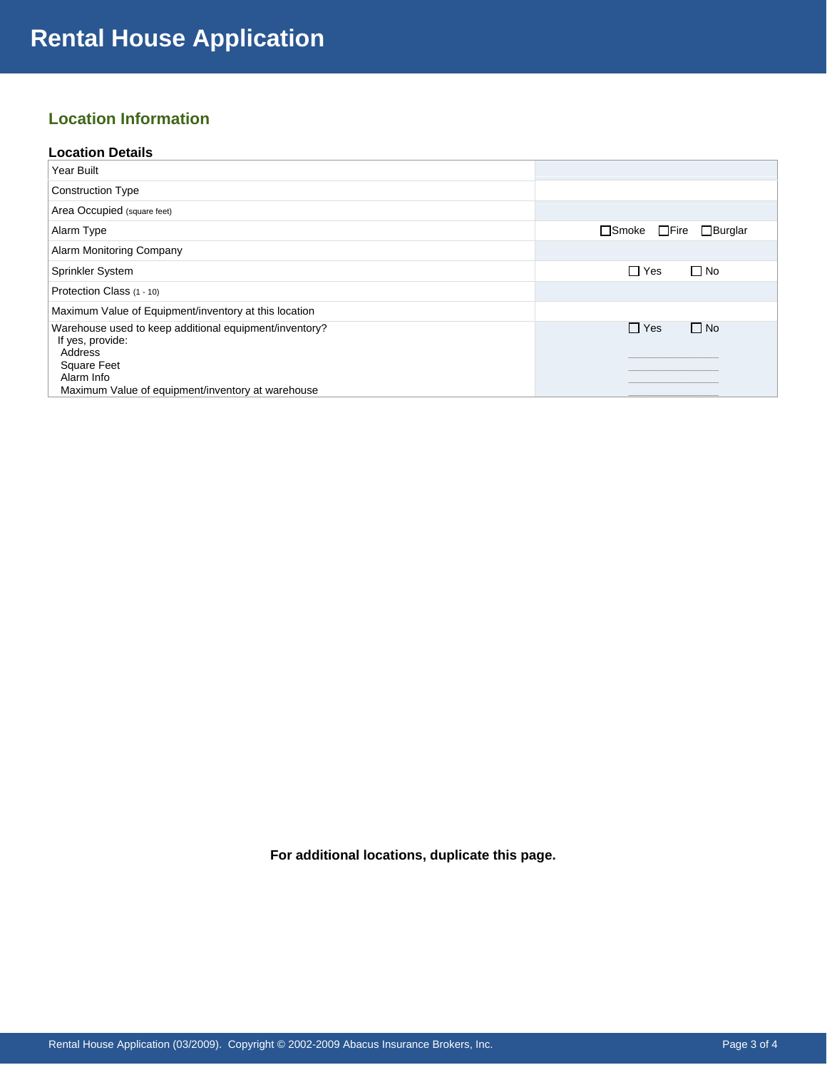## **Location Information**

#### **Location Details**

| Year Built                                                                 |                                                  |
|----------------------------------------------------------------------------|--------------------------------------------------|
| <b>Construction Type</b>                                                   |                                                  |
| Area Occupied (square feet)                                                |                                                  |
| Alarm Type                                                                 | $\square$ Smoke<br>$\Box$ Fire<br>$\Box$ Burglar |
| Alarm Monitoring Company                                                   |                                                  |
| <b>Sprinkler System</b>                                                    | $\Box$ Yes<br>$\Box$ No                          |
| Protection Class (1 - 10)                                                  |                                                  |
| Maximum Value of Equipment/inventory at this location                      |                                                  |
| Warehouse used to keep additional equipment/inventory?<br>If yes, provide: | $\Box$ Yes<br>$\Box$ No                          |
| Address<br><b>Square Feet</b><br>Alarm Info                                |                                                  |
| Maximum Value of equipment/inventory at warehouse                          |                                                  |

**For additional locations, duplicate this page.**